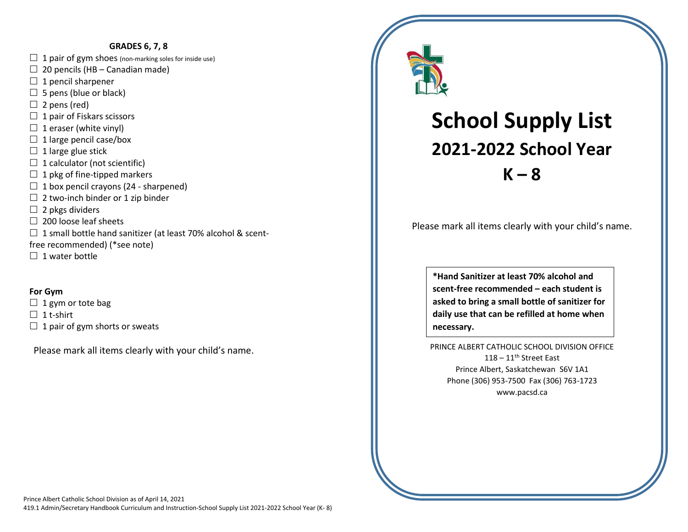#### **GRADES 6, 7, 8**

- $\Box$  1 pair of gym shoes (non-marking soles for inside use)
- $\Box$  20 pencils (HB Canadian made)
- $\Box$  1 pencil sharpener
- $\Box$  5 pens (blue or black)
- $\Box$  2 pens (red)
- $\Box$  1 pair of Fiskars scissors
- $\Box$  1 eraser (white vinyl)
- $\Box$  1 large pencil case/box
- $\Box$  1 large glue stick
- $\Box$  1 calculator (not scientific)
- $\Box$  1 pkg of fine-tipped markers
- $\Box$  1 box pencil crayons (24 sharpened)
- $\Box$  2 two-inch binder or 1 zip binder
- $\Box$  2 pkgs dividers
- $\Box$  200 loose leaf sheets
- $\Box$  1 small bottle hand sanitizer (at least 70% alcohol & scent-
- free recommended) (\*see note)
- $\Box$  1 water bottle

#### **For Gym**

- $\Box$  1 gym or tote bag
- $\Box$  1 t-shirt
- $\Box$  1 pair of gym shorts or sweats

Please mark all items clearly with your child's name.



# **School Supply List 2021-2022 School Year K – 8**

Please mark all items clearly with your child's name.

**\*Hand Sanitizer at least 70% alcohol and scent-free recommended – each student is asked to bring a small bottle of sanitizer for daily use that can be refilled at home when necessary.**

PRINCE ALBERT CATHOLIC SCHOOL DIVISION OFFICE  $118 - 11$ <sup>th</sup> Street East Prince Albert, Saskatchewan S6V 1A1 Phone (306) 953-7500 Fax (306) 763-1723 www.pacsd.ca